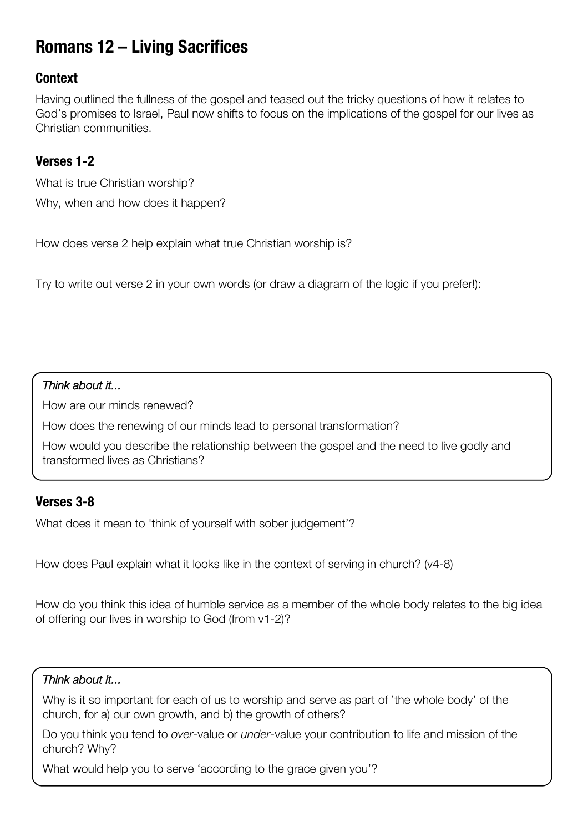# **Romans 12 – Living Sacrifices**

# **Context**

Having outlined the fullness of the gospel and teased out the tricky questions of how it relates to God's promises to Israel, Paul now shifts to focus on the implications of the gospel for our lives as Christian communities.

# **Verses 1-2**

What is true Christian worship? Why, when and how does it happen?

How does verse 2 help explain what true Christian worship is?

Try to write out verse 2 in your own words (or draw a diagram of the logic if you prefer!):

### *Think about it...*

How are our minds renewed?

How does the renewing of our minds lead to personal transformation?

How would you describe the relationship between the gospel and the need to live godly and transformed lives as Christians?

# **Verses 3-8**

What does it mean to 'think of yourself with sober judgement'?

How does Paul explain what it looks like in the context of serving in church? (v4-8)

How do you think this idea of humble service as a member of the whole body relates to the big idea of offering our lives in worship to God (from v1-2)?

#### *Think about it...*

Why is it so important for each of us to worship and serve as part of 'the whole body' of the church, for a) our own growth, and b) the growth of others?

Do you think you tend to *over*-value or *under*-value your contribution to life and mission of the church? Why?

What would help you to serve 'according to the grace given you'?